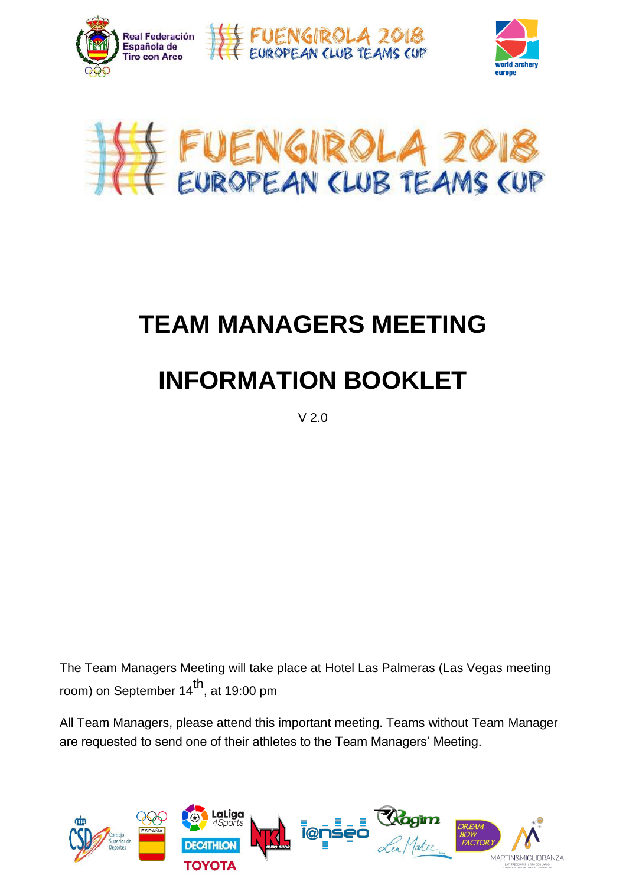







#### Official arrival points are the following:  $\blacksquare$  International Matrix  $\mathbf{v}$  matrices that the station  $\mathbf{v}$  $\blacktriangleright$  TFAM MANAGFRS MFFTING in the  $\blacktriangleright$ show the Club team matches. TEAM MANACEDO ME **TEAM MANAGERS MEETING**

#### $\blacksquare$  INEODMATION DOOKE from Las Palmeras Hotel.  $\mathbf{F} = \mathbf{F} \mathbf{F} \mathbf{F} \mathbf{F} \mathbf{F} \mathbf{F} \mathbf{F} \mathbf{F} \mathbf{F} \mathbf{F} \mathbf{F} \mathbf{F} \mathbf{F} \mathbf{F} \mathbf{F} \mathbf{F} \mathbf{F} \mathbf{F} \mathbf{F} \mathbf{F} \mathbf{F} \mathbf{F} \mathbf{F} \mathbf{F} \mathbf{F} \mathbf{F} \mathbf{F} \mathbf{F} \mathbf{F} \mathbf{F} \mathbf{F} \mathbf{F} \mathbf{F} \mathbf{F} \mathbf{F} \mathbf$ the computation and compute the computation and compute the compute  $\mathbf{N}$ Ranking rounds **INFORMATION BOOKLET**

 $V$  2.0

In this stage, every Club team competes against the three other teams in the group. • To be eligible to participate as members of a Club Team, a written room) on September 14 $^{\text{th}}$ , at 19:00 pm The Team Managers Meeting will take place at Hotel Las Palmeras (Las Vegas meeting room) on September 14<sup>th</sup>, at 19:00 pm

 $\frac{6}{1}$ ,  $\frac{1}{1}$  end one of their ethletes to the Teem Menegers' Meeting are requested to send one of their athletes to the Team Managers' Meeting. All Team Managers, please attend this important meeting. Teams without Team Manager

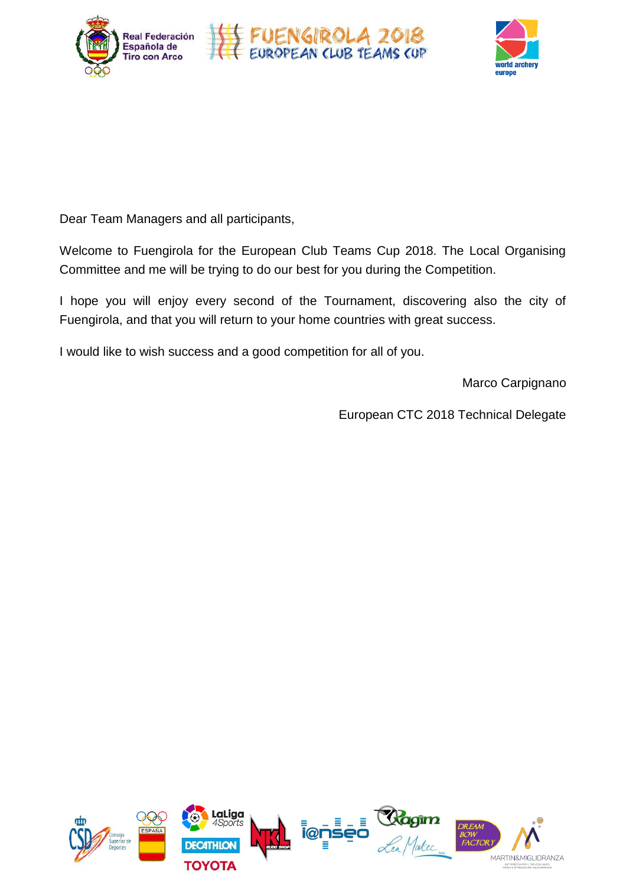



Dear Team Managers and all participants,  $\sigma$  the qualification round will generate  $\sigma$ 

Welcome to Fuengirola for the European Club Teams Cup 2018. The Local Organising place on the competence in a secondary tournament of the competence in a secondary to the competence of the co  $\sim$  Iffirmate and the will be trying to do our best for you during the Competition. **Thursday** Committee and me will be trying to do our best for you during the Competition.

**TRANSPORTATION** be informed about the 3 archers composing the Club team before the end of  $\epsilon$  or the following:  $\epsilon$  are the following:  $\epsilon$  $\overline{\cdot}$ uengirola, and that you will return to your home countries with great success. I hope you will enjoy every second of the Tournament, discovering also the city of the reader of the countries with great success.<br>Fuengirola, and that you will return to your home countries with great success.

uld like to wish success and a good competition for all of you september 15 Qualification round I would like to wish success and a good competition for all of you.

Marco Carpignano

be requested to the LOC (50,00€ per Clubteam - way& back). European CTC 2018 Technical Delegate

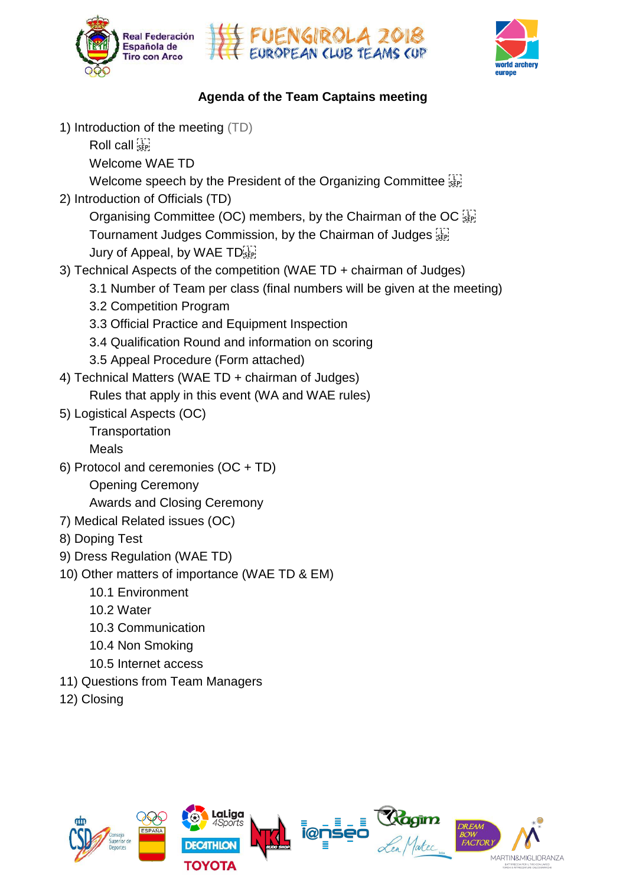





### $\mathbf{A} = \mathbf{A} \cdot \mathbf{A} \cdot \mathbf{A} \cdot \mathbf{A}$ among them in **ranking elimination matches: Agenda of the Team Captains meeting**

 $\mathbf{r}$  to  $\mathbf{r}$  to  $\mathbf{r}$  and  $\mathbf{r}$  and  $\mathbf{r}$  and  $\mathbf{r}$  and  $\mathbf{r}$  and  $\mathbf{r}$  and  $\mathbf{r}$  and  $\mathbf{r}$  and  $\mathbf{r}$  and  $\mathbf{r}$  and  $\mathbf{r}$  and  $\mathbf{r}$  and  $\mathbf{r}$  and  $\mathbf{r}$  and  $\mathbf{r}$  and  $\$ 1) Introduction of the meeting (TD)

Ranking 9 Call <u>'SEP'</u> Roll call  $\frac{1}{\sqrt{2}}$  call the Club team-matches.

 $\frac{1}{2}$  The club teams is  $\frac{1}{2}$  the Club teams is obtained by adding the scores of the 3 The 3 The 3 The 3 The 3 The 3 The 3 The 3 The 3 The 3 The 3 The 3 The 3 The 3 The 3 The 3 The 3 The 3 The 3 The 3 The 3 The 3 Welcome WAE TD

 $T_{\text{SUSU}}$  matches (Bronze and Gold Men) will take  $\mathcal{L}$ welcome was to<br>Welcome speech by the President of the Organizing Committee  $\mathbb{G}$ Welcome speech by the President of the Organizing Committee  $\frac{1}{35}$ 

2) Introduction of Officials (TD) are participated **are participated .** 

Organising Committee (OC) members, by the Chairman of the OC  $\frac{177}{355}$ Tournament Judges Commission, by the Chairman of Judges or If there are more than 16 teams (men or women), the teams of the teams of the teams of the teams of the teams of the teams of the teams of the teams of the teams of the teams of the teams of the teams of the teams of th place on  $p$  place on  $p$  with  $p$  second  $p$  and  $p$  and  $p$  and  $p$  and  $p$  and  $p$  and  $p$  and  $p$  and  $p$  and  $p$  and  $p$  and  $p$  and  $p$  and  $p$  and  $p$  and  $p$  and  $p$  and  $p$  and  $p$  and  $p$  and  $p$  and  $p$  and  $p$ 

- $\sigma$  recrimical Aspects of the competition (WAE TD + chairman or Judges) **Thursday** 3) Technical Aspects of the competition (WAE TD + chairman of Judges)
	- 3.1 Number of Team per class (final numbers will be given at the meeting)
	- 3.2 Competition Program
- 3.3 Official Practice and Equipment Inspection 3.3 Official Practice and Equipment Inspection
	- $\mathbb{P}^{\mathcal{D}}$  and  $\mathbb{P}^{\mathcal{D}}$  matrix  $\mathbb{P}^{\mathcal{D}}$  matrix station station station station station station 3.4 Qualification Round and information on scoring
- $R$ Pear Frocedare (Form attached) It is not allowed to change and the change and competition. 3.5 Appeal Procedure (Form attached)<br> $\frac{1}{2}$
- cal Matters (WAF TD + chairman of Judges). Function is  $\mathcal{L}$ 4) Technical Matters (WAE TD + chairman of Judges)
	- $\mathbf{P}_{\mathbf{r}}$  these two points to  $\mathbf{r}$  from  $\mathbf{r}$   $\mathbf{r}$  from Las Palmeras hotel can be  $\mathbf{r}$ hat apply in this ev ding event (vv  $MAT = 1$ Rules that apply in this event (WA and WAE rules)
- 5) Logistical Aspects (OC)

Transportation Once the individual qualitation ranking ranking ranking ranking ranking ranking ranking ranking ranking ranking ranking ranking ranking ranking ranking ranking ranking ranking ranking ranking ranking ranking ranking rankin

Meals

- $\mathbf{r} = \mathbf{r} \cdot \mathbf{r}$ we are written with competition with competition  $\mathcal{L}$ 6) Protocol and ceremonies (OC + TD) eremonies (OC + TD)<br>Peremony<br>A Closing Ceremony<br>ated issues (OC)
	- Opening Ceremony are training the trains) of the trains  $\alpha$

Awards and Club tright competition field will be divided with an amount of 4 groups of 4 groups of 4 groups of **Awards and Closing Ceremony** 

- 7) Medical Related issues (OC)
	- 8) Doping Test
	- 9) Dress Regulation (WAE TD)
	- ers of importance (WAE TD & EM) 10) Other matters of importance (WAE TD & EM)
		- $\mathsf{nt}$  8th  $\mathsf{nt}$  5th  $\mathsf{nt}$  5th  $\mathsf{nt}$ • The host countries are may enter a maximum of 8 Women Club teams. The second countries are may be a second countries and  $\alpha$ 10.1 Environment
		- $\mathbf{P}$ 10.2 Water
		- 16th 15th 14th 13 10.3 Communication bring an extra team in the same category they won.  $\overline{\phantom{a}}$  archers of the Club team has to belong the same club team has to belong the same club, being members of the same club, being  $\overline{\phantom{a}}$
		- 10.4 Non Smoking club as per 2018, January 1st.
- 10.5 Internet access against the team competency competent against the group.  $\frac{1}{\sqrt{2}}$ certification from the Club stating that at high stating that  $C$
- 11) Questions from Team Managers<br>12) are allocated on the match:
- 12) biosing and winner and winner and a tie  $\sim$  12 point in case of a time  $\sim$ 12) Closing

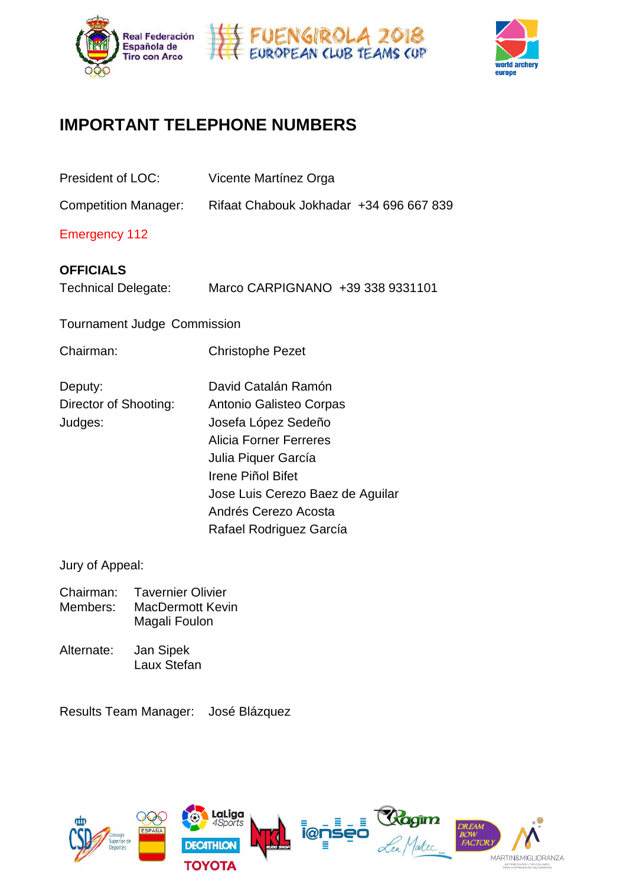



### TANIT TEI EDUONE NILIM **IMPORTANT TELEPHONE NUMBERS**

| President of LOC:                              | Vicente Martínez Orga                                                                                                                                                                                                                     |
|------------------------------------------------|-------------------------------------------------------------------------------------------------------------------------------------------------------------------------------------------------------------------------------------------|
| <b>Competition Manager:</b>                    | Rifaat Chabouk Jokhadar +34 696 667 839                                                                                                                                                                                                   |
| <b>Emergency 112</b>                           |                                                                                                                                                                                                                                           |
| <b>OFFICIALS</b><br><b>Technical Delegate:</b> | Marco CARPIGNANO +39 338 9331101                                                                                                                                                                                                          |
| <b>Tournament Judge Commission</b>             |                                                                                                                                                                                                                                           |
| Chairman:                                      | <b>Christophe Pezet</b>                                                                                                                                                                                                                   |
| Deputy:<br>Director of Shooting:<br>Judges:    | David Catalán Ramón<br>Antonio Galisteo Corpas<br>Josefa López Sedeño<br><b>Alicia Forner Ferreres</b><br>Julia Piquer García<br>Irene Piñol Bifet<br>Jose Luis Cerezo Baez de Aguilar<br>Andrés Cerezo Acosta<br>Rafael Rodriguez García |

Jury of Appeal:

- en Benedicter<br>Franken Clivier Members: MacDermott Kevin  $16$ th 1 $16$ th 1 $16$ th 1 $16$ th 1 $16$ th 1 $16$ th 1 $16$ th 1 $16$ th 1 $16$ th 1 $16$ th 1 $16$ th 1 $16$ th 1 $16$ th 1 $16$ th 1 $16$ th 1 $16$ th 1 $16$ th 1 $16$ th 1 $16$ th 1 $16$ th 1 $16$ th 1 $16$ th 1 $16$ th 1 $16$ th 1 $16$ th 1 $16$ th 1 $16$ th 1 $16$ t Chairman: Tavernier Olivier **May be a may be a maximum of 8 Women Club teams.** bring an extra team in the same category they won. They won. In the same category they won. In the same category the
- In this stage, even the team competition of the team competition of the group. The group of the group. The group of the group. The group of the group. The group of the group. The group of the group. The group of the group. Alternate: Jan Sipek elijkih bleven to be eligible to participate as members of a club Team, a written written written written writ cortification from the Club stating that all athletes belong that  $C$

Results Team Manager: José Blázquez



 $\bullet$  archers of the Club team has to belong the same club team has to belong to the same club, being members of the same club, being members of the same club, being members of the same club, being members of the same club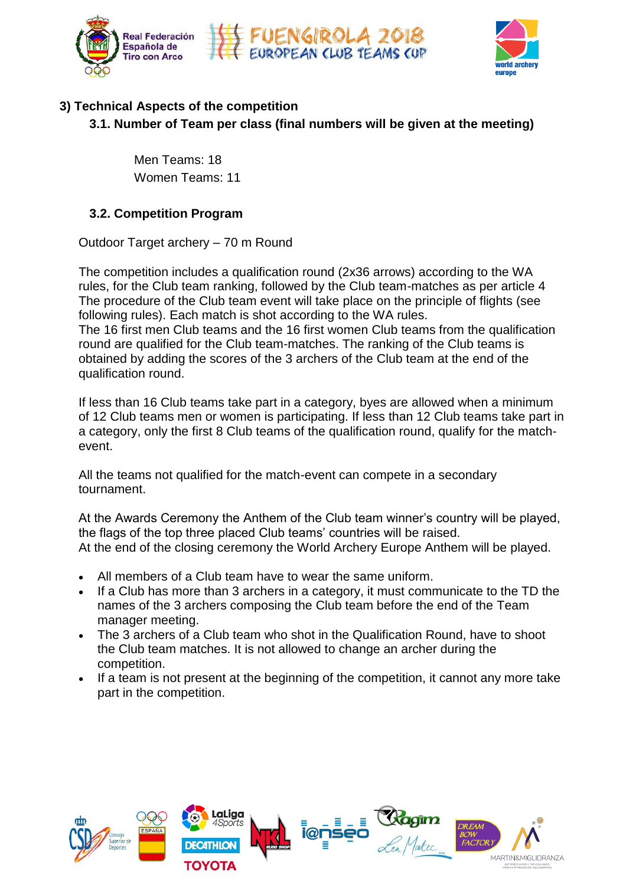



# **3) Technical Aspects of the competition**

Number of Toom nor close (final 3.1. Number of Team per class (final numbers will be given at the meeting)

 $T_{\rm eff}$  final matches (Bronze and Gold Medal Matches  $\sim$  Men) will take  $M_{\rm eff}$ men realternate show after the other.<br>Women Teams: 11 erating of the Teams: 18  $\blacksquare$  If  $\blacksquare$  is a category, by a category, by a category, by a category, by a category, by a category, by a category, by a category, by a category, by a category, by a category, by a category, by a category, by a cate Women Teams: 11

# All the teams that did not make the top 16 cut, will compete in a secondary "just for • If less than 12 Club teams take part in a category, only the first 8 Club teams **3.2. Competition Program**

Outdoor Target archery – 70 m Round<br> **Outdoor Target archery – 70 m Round** 

TRANSPORTATION following rules). Each match is shot according to the WA rules.  $\frac{1}{2}$ place onwards can compete in a secondary tournament. Fine competition includes a qualification found ( $2x36$  arrows) according to the v rules, for the Club team ranking, followed by the Club team-matches as per article 4 The procedure of the Club team event will take place on the principle of flights (see<br>Called the club of the Club team event will take place on the principle of flights (see • The 3 archers of a Club team shooting in the Qualification Round have to **Thursday** The competition includes a qualification round (2x36 arrows) according to the WA The 16 first men Club teams and the 16 first women Club teams from the qualification

 $\frac{1}{2}$  and  $\frac{1}{2}$  and  $\frac{1}{2}$  main train  $\frac{1}{2}$  main train  $\frac{1}{2}$ rife to first men Club teams and the To first women Club teams nont the qualified for the Club team-matches. The ranking of the Club teams is be by deding the economy and b dichord of the Bidb team qualification round.<br>The competition is 500 meters far person is 500 meters far personalism is 500 meters far personalism is 500 me Uuriu are qualified for the Club team-matches. The famility of the competition of the competition. obtained by adding the scores of the 3 archers of the Club team at the end of the<br>qualification round

man To Club learns take part in a category, byes are alle If less than 10 Club teams take part in a category, byes are allowed when a millimum a category, only the first 8 Club teams of the qualification round, qualify for the match-<br>ovent  $\alpha$  women) will competitive in the Main competition. If less than 16 Club teams take part in a category, byes are allowed when a minimum *NOTE: This program could slightly change according to the final number of* event.

 $\mathbf t$ **PARTICIPATION RULES**  All the teams not qualified for the match-event can compete in a secondary tournament.

All the teams not qualified for the match-event can compete in a seconda<br>tournament.<br>At the Awards Ceremony the Anthem of the Club team winner's country v<br>the flags of the top three placed Club teams' countries will be rai At the Awards Ceremony the Anthem of the Club team winner's country will be a 4 At the Awards Ceremony the Anthem of the Club team winner's country will be played, **GroupA GroupB GroupC GroupD** the flags of the top three placed Club teams' countries will be raised. At the end of the closing ceremony the World Archery Europe Anthem will be played.

• All members of a Club team have to wear the same uniform.

 $\sim$  showledge wear the same uniform.

- s or a Glub team have to wear the same<br>is more than 3 archers in a category, it n names of the 3 archers composing the Club team before the end of the Team • If a Club has more than 3 archers in a category, it must communicate to the TD the bring an extra team in the same category they won. They won. In the same category they won. In the same category the
- The 3 archers of a Club team who shot in the Qualification Round, have to shoot In this stage, even competition. am matches It is not allowed to change the Club team matches. It is not allowed to change an archer during the<br>competition certification from the Club stating that all athletes belong that all athletes belong to that Club must belong <br>Club must belong that Club must be local must be a club must belong that club must be a club must be a club mu
- part in the competition.<br>
 The athletes may allow his person, name, part in the competition. 2 points for the winner / 1 point in case of a tie / 0 points for the loser • If a team is not present at the beginning of the competition, it cannot any more take

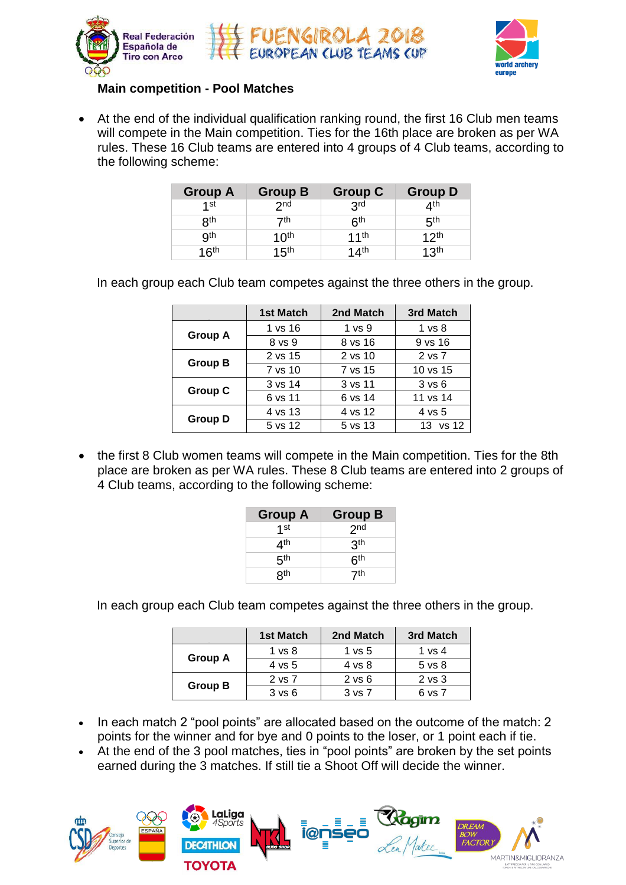





## **Main competition - Pool Matches** among them in **ranking elimination matches:**

• At the end of the individual qualification ranking round, the first 16 Club men teams ranking to the Main competition  $\sum_{n=1}^{\infty}$ will compete in the Main competition. Ties for the 16th place are broken as per WA<br>wilso These 40 Olyh teams are entered into 4 mayors of 4 Olyh teams as persplice to rules. These 16 Club teams are entered into 4 groups of 4 Club teams, according to<br>the following scheme:  $T_{\rm eff}$  final matches (Bronze and Gold Men) will take  $\mu$ the following scheme:  $\overline{a}$ 

| <b>Group A</b>   | <b>Group B</b>   | <b>Group C</b>   | <b>Group D</b>   |
|------------------|------------------|------------------|------------------|
| $1$ st           | 2 <sub>nd</sub>  | 3 <sup>rd</sup>  | 4 <sup>th</sup>  |
| 8 <sup>th</sup>  | 7th              | 6 <sup>th</sup>  | 5 <sup>th</sup>  |
| <b>gth</b>       | 10 <sup>th</sup> | 11th             | 12 <sup>th</sup> |
| 16 <sup>th</sup> | 15 <sup>th</sup> | 14 <sup>th</sup> | 13 <sup>th</sup> |

 $\frac{1}{2}$  and  $\frac{1}{2}$  aroun and Club to more compates against the three others in the ground about the 3 archers composition about the 3 archers team before the club team before the end of the end of the  $\mathsf{S}_{\mathsf{S}}$  September 13th Club teams arrived the arrival  $\mathsf{S}_{\mathsf{S}}$ In each group each Club team competes against the three others in the group.

|                | 1st Match | 2nd Match         | 3rd Match         |
|----------------|-----------|-------------------|-------------------|
|                | 1 vs 16   | 1 <sub>vs</sub> 9 | $1 \text{ vs } 8$ |
| <b>Group A</b> | 8 vs 9    | 8 vs 16           | 9 vs 16           |
|                | 2 vs 15   | 2 vs 10           | 2 vs 7            |
| <b>Group B</b> | 7 vs 10   | 7 vs 15           | 10 vs 15          |
|                | 3 vs 14   | 3 vs 11           | 3 v s 6           |
| <b>Group C</b> | 6 vs 11   | 6 vs 14           | 11 vs 14          |
|                | 4 vs 13   | 4 vs 12           | 4 vs 5            |
| <b>Group D</b> | 5 vs 12   | 5 vs 13           | 13 vs 12          |

• the first 8 Club women teams will compete in the Main competition. Ties for the 8th The first of Club women teams will complete in the widin competition. The place are broken as per WA rules. These 8 Club teams are entered in 4 Club teams, according to the following scheme:<br> **Group A** Group B<br>  $1^{st}$   $2^{$ 4 Club teams, according to the following scheme: **PARTICIPATION RULES**  place are broken as per WA rules. These 8 Club teams are entered into 2 groups of

| <b>Group A</b>  | <b>Group B</b>  |
|-----------------|-----------------|
| 4 <sub>st</sub> | 2 <sub>nd</sub> |
| 4 <sup>th</sup> | <b>3th</b>      |
| 5 <sup>th</sup> | 6 <sup>th</sup> |
| 8 <sup>th</sup> | −zth            |

group each Club team competes against the three others in the g In each group each Club team competes against the three others in the group.

|                | <b>1st Match</b>  | 2nd Match         | 3rd Match  |
|----------------|-------------------|-------------------|------------|
|                | 1 <sub>vs</sub> 8 | 1 <sub>vs</sub> 5 | 1 vs 4     |
| Group A        | 4 vs 5            | 4 vs 8            | $5$ vs $8$ |
|                | 2 vs 7            | $2$ vs $6$        | 2 vs 3     |
| <b>Group B</b> | 3 v s 6           | 3 vs 7            | 6 vs 7     |

- points for the winner and for bye and 0 points to the loser, or 1 point each if tie. • In each match 2 "pool points" are allocated based on the outcome of the match: 2
- $\bullet$  At the end of the 3 pool matches, ties in "pool points" are broken by the set points earned during the 3 matches. If still tie a Shoot Off will decide the winner.

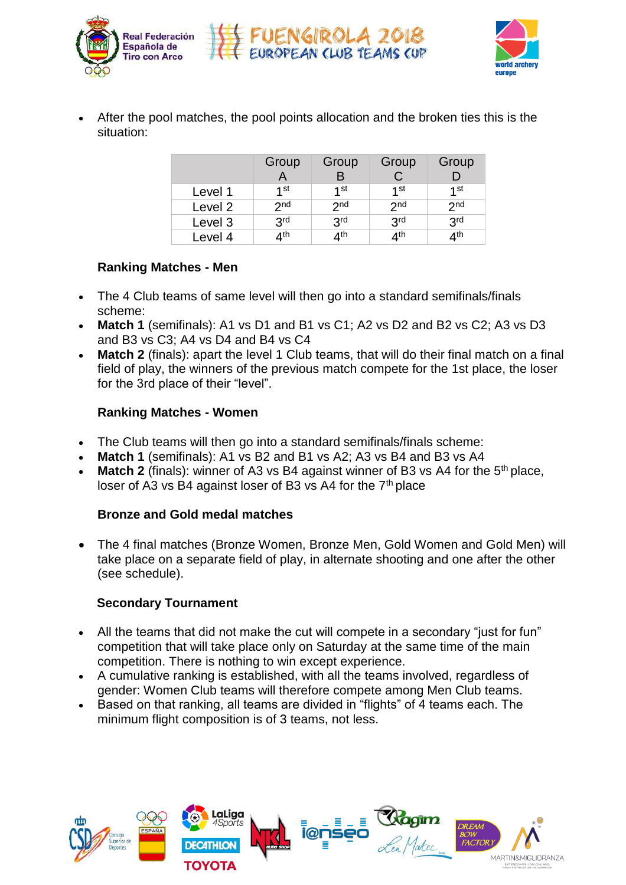





• After the pool matches, the pool points allocation and the broken ties this is the situation: aanoni qualified for the Club team-matches.

|         | Group<br>$\mathsf{A}$ | Group<br>B      | Group           | Group<br>D      |
|---------|-----------------------|-----------------|-----------------|-----------------|
| Level 1 | $1$ st                | 1st             | 1st             | 1st             |
| Level 2 | 2 <sub>nd</sub>       | 2 <sub>nd</sub> | 2 <sub>nd</sub> | 2 <sub>nd</sub> |
| Level 3 | 3 <sup>rd</sup>       | 3 <sup>rd</sup> | 3 <sup>rd</sup> | 3 <sup>rd</sup> |
| Level 4 | 4 <sup>th</sup>       | 4 <sup>th</sup> | 4 <sup>th</sup> | 4 <sup>th</sup> |

#### **Ranking Matches - Men**  $\mathbf{r}$  and  $\mathbf{r}$  archers in a category, the  $\mathbf{r}$  $S_{\rm c}$  arrivals arrivals arrivals arrivals arrivals arrivals arrivals arrivals arrivals arrivals arrivals arrivals arrivals arrivals arrivals arrivals arrivals arrivals arrivals arrivals arrivals arrivals arrivals arriv

- The 4 Club teams of same level will then go into a standard semifinals/finals Official arrival points are the following: the practice Session on Friday. Day 1 scheme: **Friday** Club teams arrivals and accreditation • The 4 Club teams of same level will then go into a standard semifinals/finals<br>cabarrac
- Match 1 (semifinals): A1 vs D1 and B1 vs C1: A2 vs D2 and B2 vs C2: A3 v and B3 vs C3; A4 vs D4 and B4 vs C4 • **Match 1** (semifinals): A1 vs D1 and B1 vs C1; A2 vs D2 and B2 vs C2; A3 vs D3  $\overline{\mathbf{C}}$
- and B3 vs C5, A4 vs B4 and B4 vs C4<br>**Match 2** (finals): apart the level 1 Club teams, that will do Regional trains connect Malaga training the Malaga trains of the Winners of the Malaga Airport and Fuengies in  $\frac{1}{2}$ field of play, the winners of the previous match compete for the 1st place, the loser for the 3rd place of their "level". apan me ieve • **Match 2** (finals): apart the level 1 Club teams, that will do their final match on a final

#### Private transportation from / to these two points to / from Las Palmeras hotel can **Ranking Matches - Women**

- $\overline{P}$ • The Club teams will then go into a standard semifinals/finals scheme:
- Match 1 (semifinals): A1 vs B2 and B1 vs A2; A3 vs B4 and B3 vs A4
- Match 1 (semilihals). At vs B2 and BT vs A2, A3 vs B4 and B3 vs A4<br>• Match 2 (finals): winner of A3 vs B4 against winner of B3 vs A4 for the<br>loser of A3 vs B4 against loser of B3 vs A4 for the  $7<sup>th</sup>$  place<br>**Bronze a** • **Match 2** (finals): winner of A3 vs B4 against winner of B3 vs A4 for the 5<sup>th</sup> place,

## loser of A3 vs B4 against loser of B3 vs A4 for the 7<sup>th</sup> place **PARTICIPATION RULES**

#### $A = \frac{1}{2}$  free dating the official hotel and the competition field will hotel and the competition field will hotel will hotel will hotel will hotel will hotel will hotel will hotel will hotel will hotel will have a set **Bronze and Gold medal matches Bronze and Gold medal matches**  $f(x) = \frac{1}{2} \int_0^1 \frac{1}{2} \, dx$

take place on a separate field of play, in alternate shooting and one after the other 1st 2nd 3rd 4 • The 4 final matches (Bronze Women, Bronze Men, Gold Women and Gold Men) will (see schedule).  $\frac{1}{\sqrt{2}}$ 

#### $\mathbf{u}$  number  $\bullet$  The host country may enter a maximum of 8  $\bullet$  Women Club teams. **Secondary Tournament and women and women are allowed to the 2017 winning constant of the 2017 winning constant of the 2017 winning constant of the 2017 winning constant of the 2017 winning constant of the 2017 winning con**

- All the teams that did not make the cut will compete in a secondary "just for fun" competition. There is nothing to win except experience. competition that will take place only on Saturday at the same time of the main
- In each matter ranking is established, with all the teams involved, regardless<br>gender: Women Club teams will therefore compete among Men Club teams • Compouse that Club stating to the Club station powers. gender: Women Club teams will therefore compete among Men Club teams.
- Based on that ranking, all teams are divided in "flights" of 4 teams each. The minimum flight composition is of 3 teams, not less.

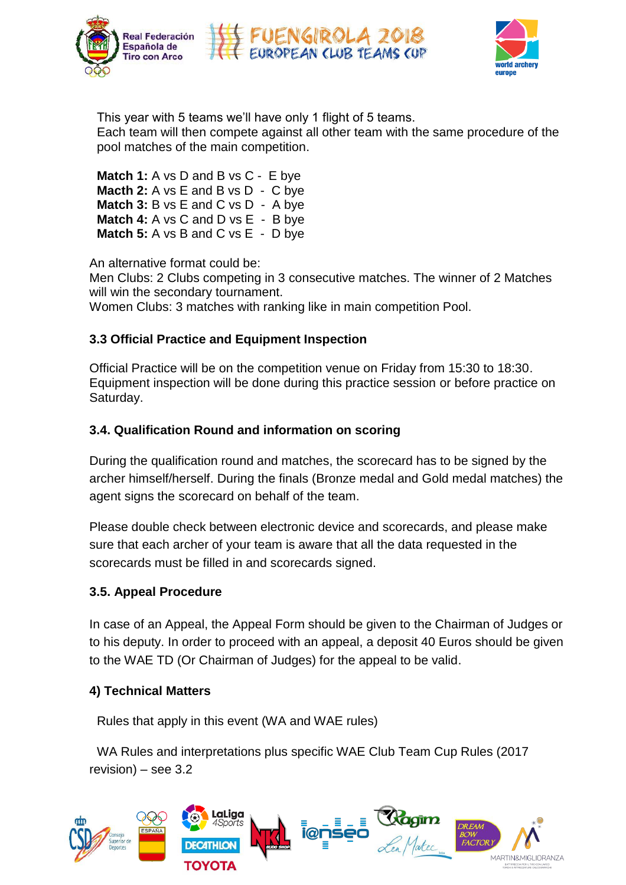





This year with 5 teams we'll have only 1 flight of 5 teams. rins year with 5 teams we in have only in light or 5 teams.<br>Each team will then compete against all other team with the same procedure  $\frac{1}{\sqrt{2}}$  value  $\frac{1}{\sqrt{2}}$  and  $\frac{1}{\sqrt{2}}$  and  $\frac{1}{\sqrt{2}}$ pool matches of the main competition. Each team will then compete against all other team with the same procedure of the<br>real matches. of the main competition

 $\mathbf{A}$  final matches (Bronze and Gold Men)  $\mathbf{A}$  with  $\mathbf{A}$  with  $\mathbf{A}$ **Match 1:** A vs D and B vs C - E bye **Match 3:** B vs E and C vs D - A bye **Match 4:** A vs C and D vs E - B bye **Match 5:** A vs B and C vs E - D bye **Machen 16 A** vs E and B vs D  $-$  C byes are allowed when a category,  $\frac{1}{2}$  and  $\frac{1}{2}$  vs D  $-$  C byes are allowed when a category of  $\frac{1}{2}$  and  $\frac{1}{2}$  and  $\frac{1}{2}$  and  $\frac{1}{2}$  and  $\frac{1}{2}$  and  $\frac{1}{2}$   $\mathbf{r} = \mathbf{r} + \mathbf{r}$  there are more than 16 teams (men or women), the teams  $\mathbf{r} = \mathbf{r} + \mathbf{r}$ 

An alternative format could be:

will win the secondary tournament.<br> **TRANSPORTS** Women Clubs: 3 matches with ranking like in main competition Pool. Men Clubs: 2 Clubs competing in 3 consecutive matches. The winner of 2 Matches

Team Manager's meeting

#### • Maria Zambrano – Malaga main train station 3.3 Official Practice and Equipment Inspection It is not allowed to change an archer during the competition. 3.3 Official Practice and Equipment Inspection

Official Practice will be on the competition venue on Friday from 15:30 to 18  $\frac{1}{2}$  (each way is 300 meters faround 3,000 meters faround 3,000 meters faround  $\frac{1}{2}$ Equipment inspection will be done during this practice session or before practice on  $\mathcal{P}$  these two points to the  $\mathcal{P}$  to  $\mathcal{P}$  from Las Palmeras hotel can be  $\mathcal{P}$ POOL MATCHES Saturday. Official Practice will be on the competition venue on Friday from 15:30 to 18:30.

# S.F. Gualification round and information on Scoring **3.4. Qualification Round and information on scoring**

During the qualification round and matches himself/herself During th (if the members are travelling in different flights ( trains) in different flights ( trains) in different flights ( trains) in different flights ( trains) in different flights ( trains) in different flights ( trains) in d  $A = \frac{1}{2}$  free dating the official hotel and the competition field will hotel and the competition field will hotel will hotel will have an *(\*) Ties for the 16th place are decided as per WA rules.*  $T_{\rm eff}$  16  $C$  16  $C$  16  $C$  16  $C$  16  $C$  16  $C$  16  $C$  16  $C$  16  $C$  16  $C$  16  $C$  16  $C$  16  $C$  16  $C$  16  $C$  16  $C$  16  $C$  16  $C$  16  $C$  16  $C$  16  $C$  16  $C$  16  $C$  16  $C$  16  $C$  16  $C$  16  $C$  16  $C$  16  $C$  16  $C$  16 *participants and TV requirements. Detailed competition program will be published* During the qualification round and matches, the scorecard has to be signed by the agent signs the scorecard on behalf of the team. e qualification round and matches, the scorecard has to be signself/herself. During the finals (Bronze medal and Gold medal<br>his the scorecard on behalf of the team.<br>whe check between electronic device and scorecards, and p archer himself/herself. During the finals (Bronze medal and Gold medal matches) the

**Flease do** couplet the filled in and scorecards signed unit be shown.  $\sim$  1st  $\sim$  1st  $\sim$  1st  $\sim$  1st  $\sim$  1st  $\sim$  1st  $\sim$  1st  $\sim$  1st  $\sim$  1st  $\sim$  1st  $\sim$  1st  $\sim$  1st  $\sim$  1st  $\sim$  1st  $\sim$  1st  $\sim$  1st  $\sim$  1st  $\sim$  1st  $\sim$  1st  $\sim$  1st  $\sim$  1st  $\sim$  1st  $\sim$  1st  $\sim$  1st  $\sim$  Please double check between electronic device and scorecards, and please make sure that each archer of your team is aware that all the data requested in the scorecards must be filled in and scorecards signed.

# 8th 7th 6th 5 5 Men & 5 Women Club teams. • The host country may enter a maximum of 8 Men & 8 Women Club teams. **3.5. Appeal Procedure**

In case of an Appeal, the Appeal Form should be given to the Chairman of Judges or to the WAE TD (Or Chairman of Judges) for the appeal to be valid. erropped, the cipped term encend to green to the shamman of st to his deputy. In order to proceed with an appeal, a deposit 40 Euros should be given  $\sim$  certification from the Club stating that all athletes belong to that  $\sim$ 

# **In the 2 "points" are allocated based on the outcome of the match:**  $\mathbf{a}$  are allocated based on the match: • The athletes may allow his person, name, pictures or sport performance to **4) Technical Matters**

At the end of the 3 pool matches, ties in "pool points" are broken by the set points Rules that apply in this event (WA and WAE rules)

WA Rules and interpretations plus specific WAE Club Team Cup Rules (2017 revision) – see 3.2

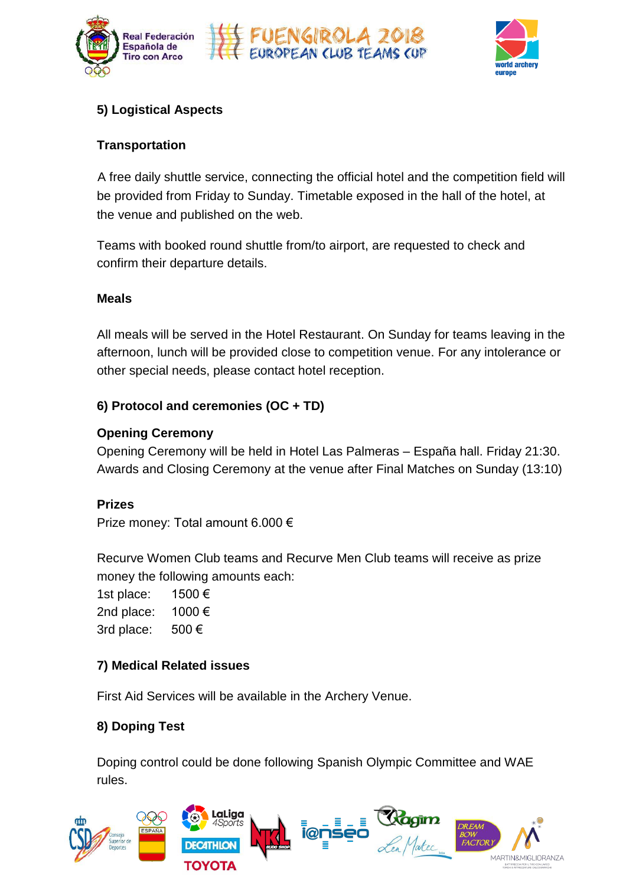





#### Ranking 1 st to 4th A1 vs D1 and B1 vs D1 and B1 vs C1 **5) Logistical Aspects**

#### Ranking 9 th to 12  $\mathbf{a}$ insportation  $\mathbf{t}$  and  $\mathbf{t}$  and  $\mathbf{t}$  and  $\mathbf{t}$ **Transportation**  $\frac{1}{2}$  . The ranking of the Club teams is obtained by adding the scores of the 3 second by adding the 3 second by adding the 3 second by adding the 3 second by adding the 3 second by adding the 3 second by adding the 3

The 4 final matches (Bronze and Gold Medal Matches – Women & Men) will take A free daily shuttle service, connecting the official hotel and the compe be provided from Friday to Sunday. Timetable exposed in the hall of the hotel, at the venue and published on the web. A free daily shuttle service, connecting the official hotel and the competition field will

Teams with booked round shuttle from/to airport, are requested to check and confirm their departure details.  $\mathbf{r} = \mathbf{r} \cdot \mathbf{r}$  and  $\mathbf{r} = \mathbf{r} \cdot \mathbf{r}$  are the Technical Delegate must must must must must must must

#### **Meals** be informed about the 3 archers composing the Club team before the end of  $t$   $\alpha$   $\beta$

All meals will be served in the Hotel Restaurant. On Sunday for teams leaving in the afternoon, lunch will be provided close to competition venu  $\alpha$  connect  $\alpha$  that  $\alpha$  the Malaga contract hatal regention other special needs, please contact hotel reception. the competition anymore will be provide la a a la capacation rounded de la contration de la contration de la contration de la contration de la contrat<br>De la contration de la contration de la contration de la contration de la contration de la contration de la co afternoon, lunch will be provided close to competition venue. For any intolerance or

#### 6) Protocol and ceremonies (OC + TD) be requested to the LOC (50,00€ per Clubteam - way& back). Club teams departures

# **Opening Ceremony Concerning ranking round is over, the first 16 Club teams (mention of the first 16 Club teams (mention of the first 16 Club teams (mention of the first 16 Club teams (mention)**  $\alpha$

 $\frac{1}{2}$ Opening Ceremony will be held in Hotel I Awards and Closing Ceremony at the venue after Final Matches on Sunday (13:10)<br>Prizes<br>Prize money: Total amount 6.000  $\epsilon$ *NOTE: This program could slightly change according to the final number of participants and TV requirements. Detailed competition program will be published* Opening Ceremony will be held in Hotel Las Palmeras – España hall. Friday 21:30.

#### $\boldsymbol{\mathsf{z}}$  free data hotel and the official hotel and the competition field will hotel will hotel will have an These 16 Club teams will be divided in 4 groups of 4 groups of 4 groups of 4 groups of 4 groups of 4 groups of 4 groups of 4 groups of 4 groups of 4 groups of 4 groups of 4 groups of 4 groups of 4 groups of 4 groups of 4 g **Prizes**

Prize money: Total amount 6.000  $\epsilon$ Mixed teams ARE NOT accepted.

> Recurve Women Club teams and Recurve Men Club teams will receive as prize he following amounts each: money the following amounts each:

1500 $\epsilon$ 1000€  $500 \in$  $\epsilon$  and  $\epsilon$  and  $\epsilon$  and  $\epsilon$  and  $\epsilon$  women  $\epsilon$  women  $\epsilon$  women  $\epsilon$  women  $\epsilon$  women  $\epsilon$  women  $\epsilon$  and  $\epsilon$  and  $\epsilon$  and  $\epsilon$  and  $\epsilon$  and  $\epsilon$  and  $\epsilon$  and  $\epsilon$  and  $\epsilon$  and  $\epsilon$  and  $\epsilon$  and  $\epsilon$  and  $\epsilon$  and  $\$  $\mathbf{e} \cdot 1000 \in$ bring an extra team in the same category they won.  $\epsilon$  are  $\epsilon$  to belong the same club team has to the same club team has to belong members of the same club, being members of the same club team  $\epsilon$ 1st place: 2nd place: 3rd place:

## In this stage, every Club team competes against the three other teams in the group. • To be eligible to participate as members of a Club Team, a written **7) Medical Related issues all athletes belong to that All athletes belong to that Club must be local must be lo**

 $E_{\text{irot}}$  and  $S_{\text{on}}$  is a will be overlable in the areheny  $V_{\text{on}}$ *Phot file Octvices* win be available in the *filencity* verifie. First Aid Services will be available in the Archery Venue.

### At the set of the 3 pool points in the 3 points were broken by the set points of points  $\mathbf{r}$  are broken by the set points of points  $\mathbf{r}$  are broken by the set points of points  $\mathbf{r}$  and  $\mathbf{r}$  are broken by th **8) Doping Test**

Doping control could be done following Spanish Olympic Committee and WAE rules.

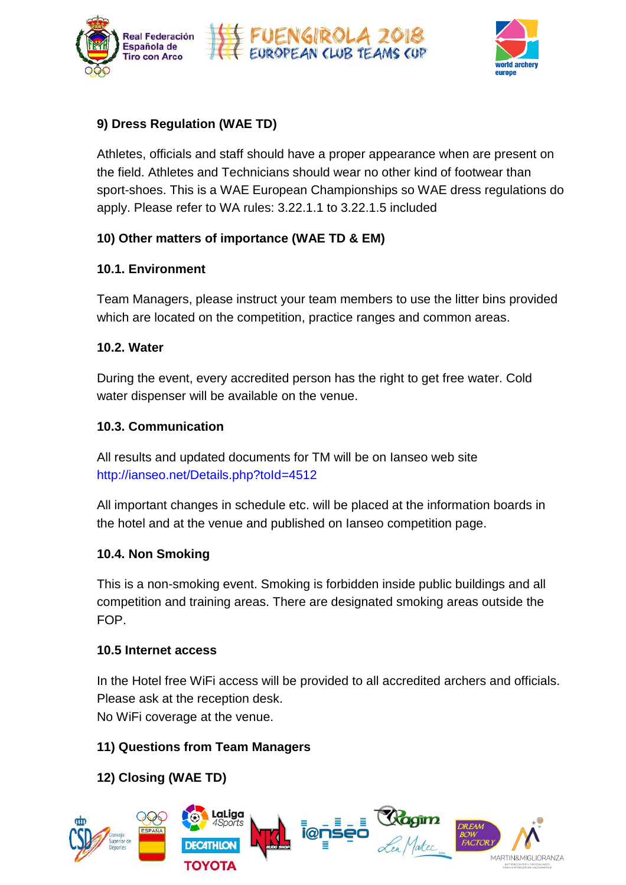





#### Dross Poquistion (WAE TD) 9) Dress Regulation (WAE TD) **Dress Regulation (WAE TD**)

Athletes, officials and staff should have a proper appearance when are present on the field. Athletes and Technicians should wear no other kind of footwear than sport-shoes. This is a WAE European Championships so WAE dress regulations do **Secondary <b>The Countries** of 12 Club teams (men or women) and the countries of the participation of the participation of the participation of the participation of the participation of the participation of the participatio apply. Please refer to WA rules: 3.22.1.1 to 3.22.1.5 included

# $f(x)$  competition of the arter on  $f(x)$  on  $F(x)$ 10) Other matters of importance (WAE TD & EM)

#### place onwards can compete in a secondary tournament. **Thursday 10.1. Environment**  Form Environment 3 archers in a category, the Technical Delegate must be a category, the Technical Delegate must be a category, the Technical Delegate must be a category, the Delegate must be a category, the Delegate must  $\mathbf{S}$  is the contract of the contract of the contract of the contract of the contract of the contract of the contract of the contract of the contract of the contract of the contract of the contract of the contract of t

Team Managara, places instruct your team mambers to use the litter hine n ich are located on the com which are located on the competition, practice ranges and common areas. **Friday** is, please inst which are located on the competition, practice ranges and common areas. Club teams arrivals and accreditation Team Managers, please instruct your team members to use the litter bins provided

#### (high speed train connection with Madrid, Barcelona, Seville, Valencia…) shoot the Club team matches. **10.2. Water 10.2. Water and architecture and architecture the competition.**

 $\frac{1}{2}$  ring the event every accredited person has the right to get  $f_{\rm mag}$  and decompose Private transportation from / to these two points to / from Las Palmeras hotel can  $\mathbf{r} = \mathbf{r} \cdot \mathbf{r}$  and the beginning of the beginning of the competition, it can not take part in  $\mathbf{r}$ During the event, every accredited person has the right to get free water. Cold ,<br>dispenser will be a vill De avallabl Medal matches water dispenser will be available on the venue.

# **10.3. Communication**

All results and updated documents for TM will be on lanseo web site • 20,00€ per person – way& back *(\*) Ties for the 16th place are decided as per WA rules.* http://ianseo.net/Details.php?toId=4512 *and informed to all participants at least 15 days ahead of the Championship.* All results and updated documents for TM will be on Ianseo web site

All important changes in schedule etc. will be placed at the information bo the hotel and at the venue and published on lanseo competition page. **PARTICIPATION RULES**  For a club can participate with the seo.net/Details.php?told=4512<br>• Hand changes in schedule etc. will be placed at the information<br>• and at the venue and published on lanseo competition page. Mixed teams ARE NOT accepted. All important changes in schedule etc. will be placed at the information boards in

#### $\blacksquare$  Group  $\blacksquare$  Group  $\blacksquare$  $\bullet$  each club team is composed of  $3$ 10.4. Non Smoking

This is a non-smoking event. Smoking is forbidden inside public buildings and all ion and training areas. There are designated smoking areas outs competition and training areas. There are designated smoking areas outside the FOP.

#### In this state, every competent against the team competent against the team competent of the group. The group of the group of the group. The group of the group of the group. The group of the group of the group. The group of the participating club as per 2018, January 1st. **10.5 Internet access**   $\mathbf{r}$  to be eligible to participate as members of a  $\mathbf{r}$  written as  $\mathbf{r}$  written as  $\mathbf{r}$

In the Hotel free WiFi access will be provided to all accredited archers and officials.<br>
<sub>p</sub>rovided by the match of the match of the match of the match of the match of the match of the match of the ma Piease ask at the reception desk.  $\frac{1}{2}$  at the recention desk sport person, name, person, name, performance to sport performance to sport performance to sport performance to sport performance to sport performance to sport performance to sport performa Please ask at the reception desk.

No WiFi coverage at the venue.

# **11) Questions from Team Managers a show-off will decide the the the theory of the the theory of the the theory of the theory of the theory of the theory of the theory of the theory of the theory of the theory of the theor**

**12) Closing (WAE TD)** 

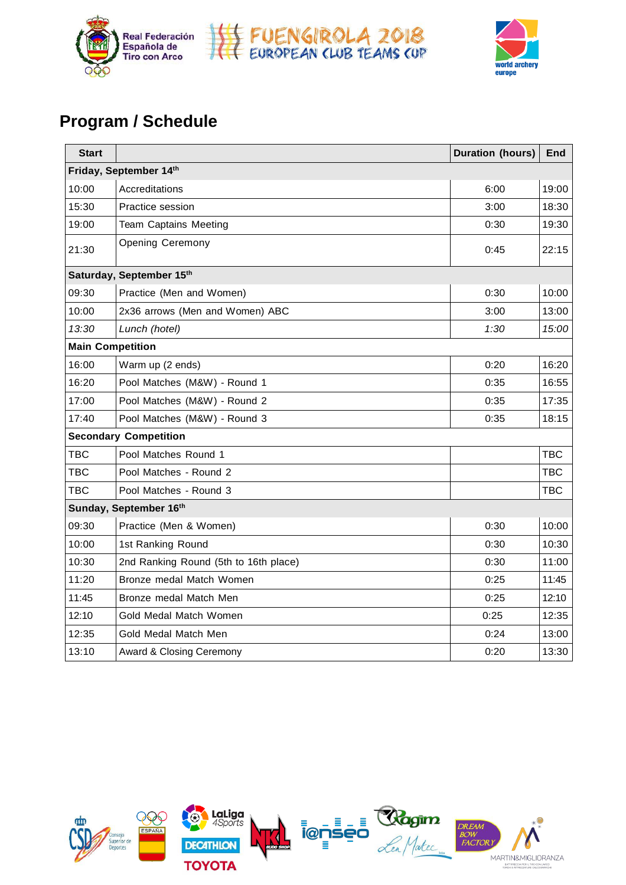



# m / Schedule **Program / Schedule Program / Schedule Program after the qualification round are**  $\mathbf{r} = \mathbf{r} \cdot \mathbf{r}$  **and**  $\mathbf{r} = \mathbf{r} \cdot \mathbf{r}$  **and**  $\mathbf{r} = \mathbf{r} \cdot \mathbf{r}$  **and**  $\mathbf{r} = \mathbf{r} \cdot \mathbf{r}$  **and**  $\mathbf{r} = \mathbf{r} \cdot \mathbf{r}$  **a**

| <b>Start</b> |                                       | <b>Duration (hours)</b> | <b>End</b> |
|--------------|---------------------------------------|-------------------------|------------|
|              | Friday, September 14th                |                         |            |
| 10:00        | Accreditations                        | 6:00                    | 19:00      |
| 15:30        | Practice session                      | 3:00                    | 18:30      |
| 19:00        | <b>Team Captains Meeting</b>          | 0:30                    | 19:30      |
| 21:30        | <b>Opening Ceremony</b>               | 0:45                    | 22:15      |
|              | Saturday, September 15th              |                         |            |
| 09:30        | Practice (Men and Women)              | 0:30                    | 10:00      |
| 10:00        | 2x36 arrows (Men and Women) ABC       | 3:00                    | 13:00      |
| 13:30        | Lunch (hotel)                         | 1:30                    | 15:00      |
|              | <b>Main Competition</b>               |                         |            |
| 16:00        | Warm up (2 ends)                      | 0:20                    | 16:20      |
| 16:20        | Pool Matches (M&W) - Round 1          | 0:35                    | 16:55      |
| 17:00        | Pool Matches (M&W) - Round 2          | 0:35                    | 17:35      |
| 17:40        | Pool Matches (M&W) - Round 3          | 0:35                    | 18:15      |
|              | <b>Secondary Competition</b>          |                         |            |
| <b>TBC</b>   | Pool Matches Round 1                  |                         | TBC        |
| <b>TBC</b>   | Pool Matches - Round 2                |                         | <b>TBC</b> |
| <b>TBC</b>   | Pool Matches - Round 3                |                         | TBC        |
|              | Sunday, September 16th                |                         |            |
| 09:30        | Practice (Men & Women)                | 0:30                    | 10:00      |
| 10:00        | 1st Ranking Round                     | 0:30                    | 10:30      |
| 10:30        | 2nd Ranking Round (5th to 16th place) | 0:30                    | 11:00      |
| 11:20        | Bronze medal Match Women              | 0:25                    | 11:45      |
| 11:45        | Bronze medal Match Men                | 0:25                    | 12:10      |
| 12:10        | Gold Medal Match Women                | 0:25                    | 12:35      |
| 12:35        | Gold Medal Match Men                  | 0:24                    | 13:00      |
| 13:10        | Award & Closing Ceremony              | 0:20                    | 13:30      |